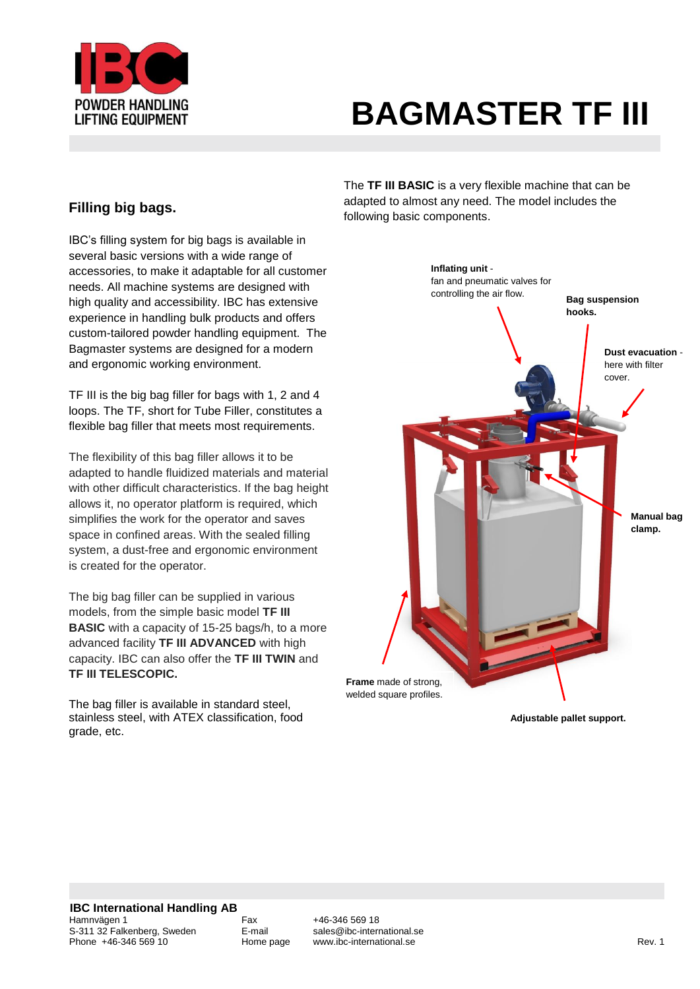

IBC's filling system for big bags is available in several basic versions with a wide range of accessories, to make it adaptable for all customer needs. All machine systems are designed with high quality and accessibility. IBC has extensive experience in handling bulk products and offers custom-tailored powder handling equipment. The Bagmaster systems are designed for a modern and ergonomic working environment.

TF III is the big bag filler for bags with 1, 2 and 4 loops. The TF, short for Tube Filler, constitutes a flexible bag filler that meets most requirements.

The flexibility of this bag filler allows it to be adapted to handle fluidized materials and material with other difficult characteristics. If the bag height allows it, no operator platform is required, which simplifies the work for the operator and saves space in confined areas. With the sealed filling system, a dust-free and ergonomic environment is created for the operator.

The big bag filler can be supplied in various models, from the simple basic model **TF III BASIC** with a capacity of 15-25 bags/h, to a more advanced facility **TF III ADVANCED** with high capacity. IBC can also offer the **TF III TWIN** and **TF III TELESCOPIC.**

The bag filler is available in standard steel, stainless steel, with ATEX classification, food grade, etc.

The **TF III BASIC** is a very flexible machine that can be adapted to almost any need. The model includes the **Filling big bags. Filling big bags. Filling biggs. Filling bagged components. Figures Figures EXECUTE: FIGURE** 



**Adjustable pallet support.**

Fax +46-346 569 18<br>F-mail sales@ibc-international.se www.ibc-international.se **Rev. 1 Rev. 1**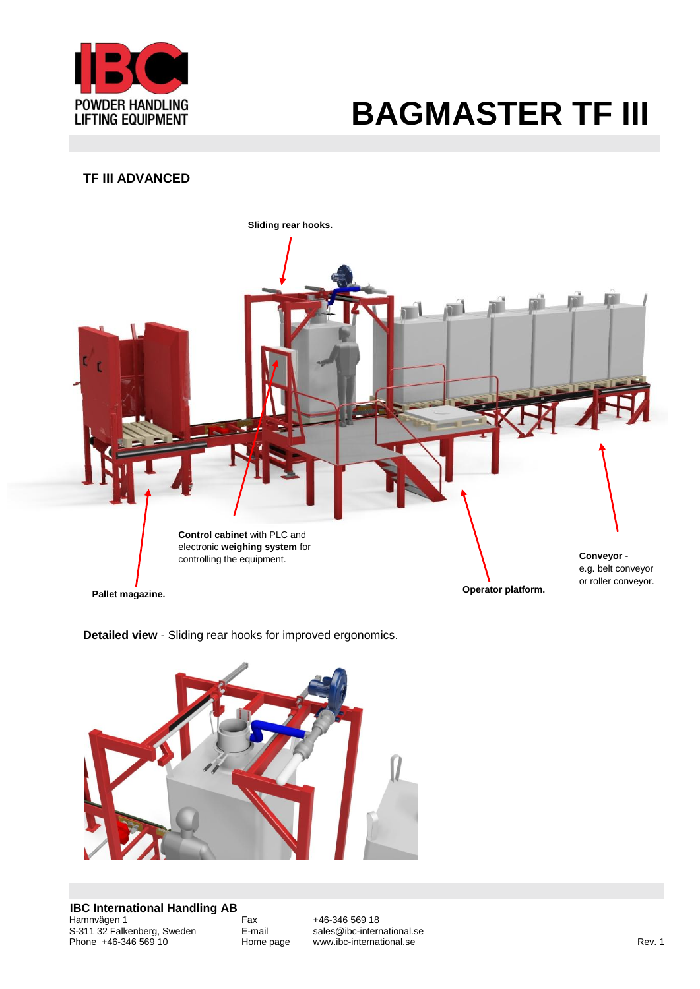

### **TF III ADVANCED**



**Detailed view** - Sliding rear hooks for improved ergonomics.

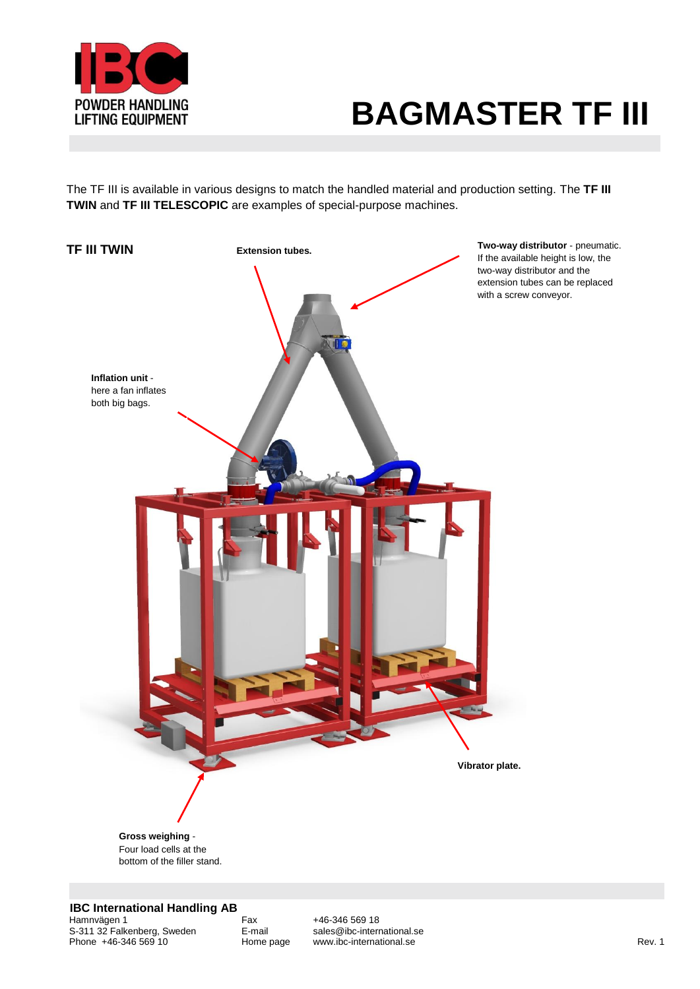

The TF III is available in various designs to match the handled material and production setting. The **TF III TWIN** and **TF III TELESCOPIC** are examples of special-purpose machines.



**IBC International Handling AB**

Hamnvägen 1 Fax +46-346 569 18 S-311 32 Falkenberg, Sweden E-mail sales@ibc-international.se Phone +46-346 569 10 Home page www.ibc-international.se Rev. 1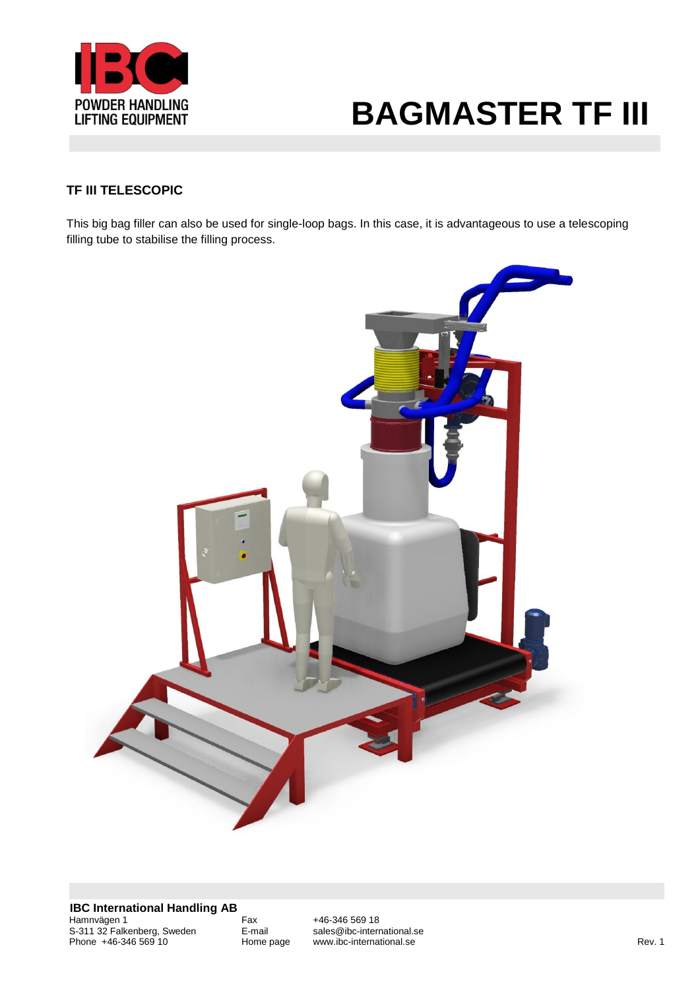

### **TF III TELESCOPIC**

This big bag filler can also be used for single-loop bags. In this case, it is advantageous to use a telescoping filling tube to stabilise the filling process.

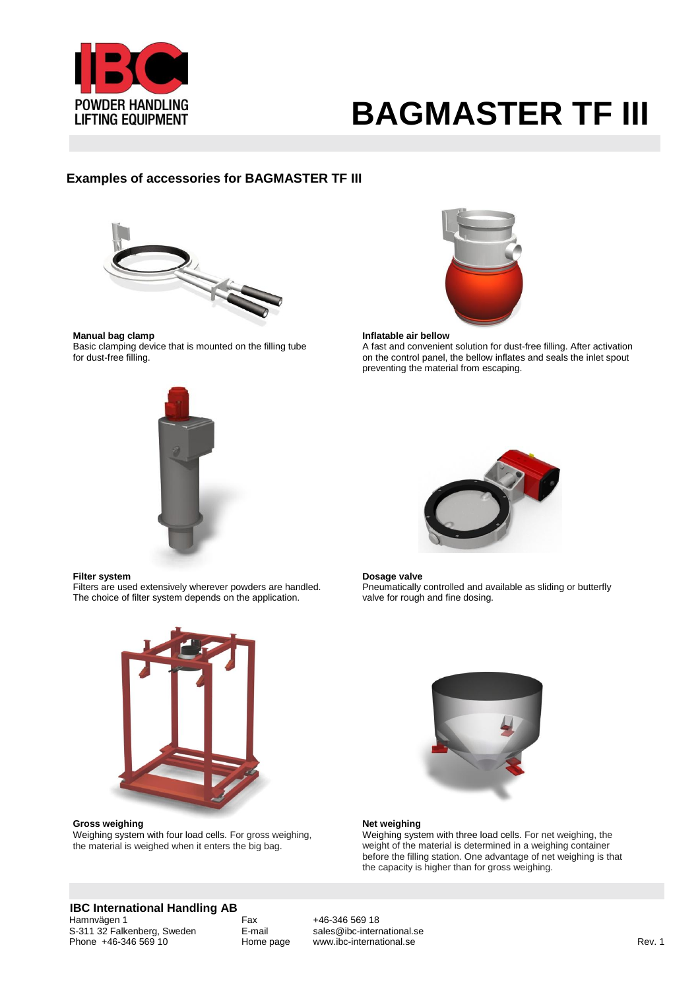

#### **Examples of accessories for BAGMASTER TF III**



**Manual bag clamp** Basic clamping device that is mounted on the filling tube for dust-free filling.



#### **Inflatable air bellow**

A fast and convenient solution for dust-free filling. After activation on the control panel, the bellow inflates and seals the inlet spout preventing the material from escaping.





#### **Filter system**

Filters are used extensively wherever powders are handled. The choice of filter system depends on the application.



**Gross weighing**  Weighing system with four load cells. For gross weighing, the material is weighed when it enters the big bag.

#### **Dosage valve**

Preumatically controlled and available as sliding or butterfly valve for rough and fine dosing.



#### **Net weighing**

Weighing system with three load cells. For net weighing, the weight of the material is determined in a weighing container before the filling station. One advantage of net weighing is that the capacity is higher than for gross weighing.

### **IBC International Handling AB**<br>Hamnvägen 1

S-311 32 Falkenberg, Sweden E-mail sales@ibc-international.<br>Phone +46-346 569 10 Home page www.ibc-international.se Phone +46-346 569 10 Home page www.ibc-international.se Rev. 1

Fax +46-346 569 18<br>E-mail sales@ibc-international.se